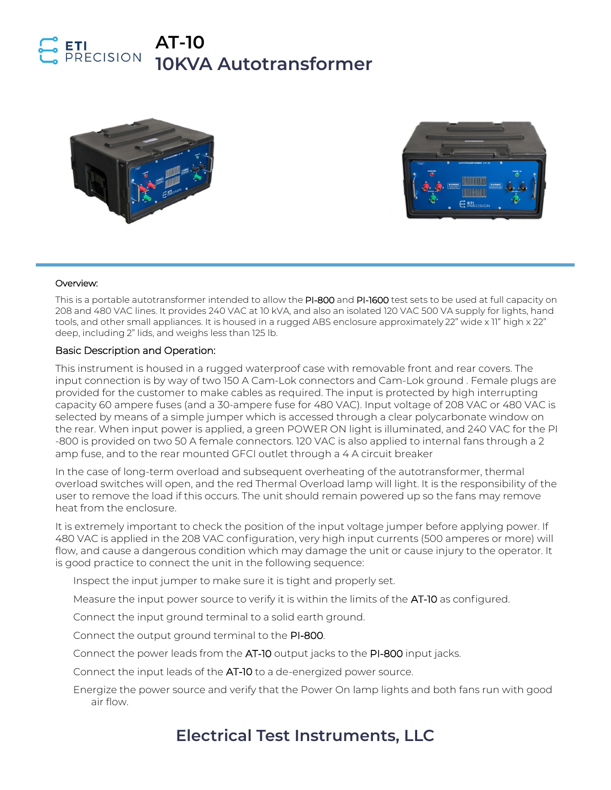### **AT-10**  RECISION **10KVA Autotransformer**





#### Overview:

This is a portable autotransformer intended to allow the PI-800 and PI-1600 test sets to be used at full capacity on 208 and 480 VAC lines. It provides 240 VAC at 10 kVA, and also an isolated 120 VAC 500 VA supply for lights, hand tools, and other small appliances. It is housed in a rugged ABS enclosure approximately 22" wide x 11" high x 22" deep, including 2" lids, and weighs less than 125 lb.

### Basic Description and Operation:

This instrument is housed in a rugged waterproof case with removable front and rear covers. The input connection is by way of two 150 A Cam-Lok connectors and Cam-Lok ground . Female plugs are provided for the customer to make cables as required. The input is protected by high interrupting capacity 60 ampere fuses (and a 30-ampere fuse for 480 VAC). Input voltage of 208 VAC or 480 VAC is selected by means of a simple jumper which is accessed through a clear polycarbonate window on the rear. When input power is applied, a green POWER ON light is illuminated, and 240 VAC for the PI -800 is provided on two 50 A female connectors. 120 VAC is also applied to internal fans through a 2 amp fuse, and to the rear mounted GFCI outlet through a 4 A circuit breaker

In the case of long-term overload and subsequent overheating of the autotransformer, thermal overload switches will open, and the red Thermal Overload lamp will light. It is the responsibility of the user to remove the load if this occurs. The unit should remain powered up so the fans may remove heat from the enclosure.

It is extremely important to check the position of the input voltage jumper before applying power. If 480 VAC is applied in the 208 VAC configuration, very high input currents (500 amperes or more) will flow, and cause a dangerous condition which may damage the unit or cause injury to the operator. It is good practice to connect the unit in the following sequence:

Inspect the input jumper to make sure it is tight and properly set.

Measure the input power source to verify it is within the limits of the AT-10 as configured.

Connect the input ground terminal to a solid earth ground.

Connect the output ground terminal to the PI-800.

Connect the power leads from the AT-10 output jacks to the PI-800 input jacks.

Connect the input leads of the AT-10 to a de-energized power source.

Energize the power source and verify that the Power On lamp lights and both fans run with good air flow.

## **Electrical Test Instruments, LLC**